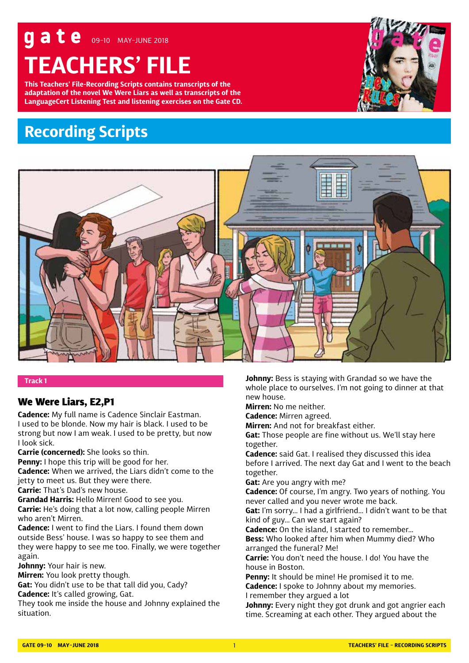09–10 may–june 2018

# **EACHERS' FILE**

**This Teachers' File-Recording Scripts contains transcripts of the adaptation of the novel We Were Liars as well as transcripts of the LanguageCert Listening Test and listening exercises on the Gate CD.**

# **Recording Scripts**





#### **Track 1**

# We Were Liars, E2,P1

**Cadence:** My full name is Cadence Sinclair Eastman. I used to be blonde. Now my hair is black. I used to be strong but now I am weak. I used to be pretty, but now I look sick.

**Carrie (concerned):** She looks so thin.

**Penny:** I hope this trip will be good for her.

**Cadence:** When we arrived, the Liars didn't come to the jetty to meet us. But they were there.

**Carrie:** That's Dad's new house.

**Grandad Harris:** Hello Mirren! Good to see you.

**Carrie:** He's doing that a lot now, calling people Mirren who aren't Mirren.

**Cadence:** I went to find the Liars. I found them down outside Bess' house. I was so happy to see them and they were happy to see me too. Finally, we were together again.

**Johnny:** Your hair is new.

**Mirren:** You look pretty though.

**Gat:** You didn't use to be that tall did you, Cady? **Cadence:** It's called growing, Gat.

They took me inside the house and Johnny explained the situation.

**Johnny:** Bess is staying with Grandad so we have the whole place to ourselves. I'm not going to dinner at that new house.

**Mirren:** No me neither.

**Cadence:** Mirren agreed.

**Mirren:** And not for breakfast either.

**Gat:** Those people are fine without us. We'll stay here together.

**Cadence:** said Gat. I realised they discussed this idea before I arrived. The next day Gat and I went to the beach together.

**Gat:** Are you angry with me?

**Cadence:** Of course, I'm angry. Two years of nothing. You never called and you never wrote me back.

**Gat:** I'm sorry… I had a girlfriend… I didn't want to be that kind of guy… Can we start again?

**Cadence:** On the island, I started to remember…

**Bess:** Who looked after him when Mummy died? Who arranged the funeral? Me!

**Carrie:** You don't need the house. I do! You have the house in Boston.

**Penny:** It should be mine! He promised it to me.

**Cadence:** I spoke to Johnny about my memories.

I remember they argued a lot

**Johnny:** Every night they got drunk and got angrier each time. Screaming at each other. They argued about the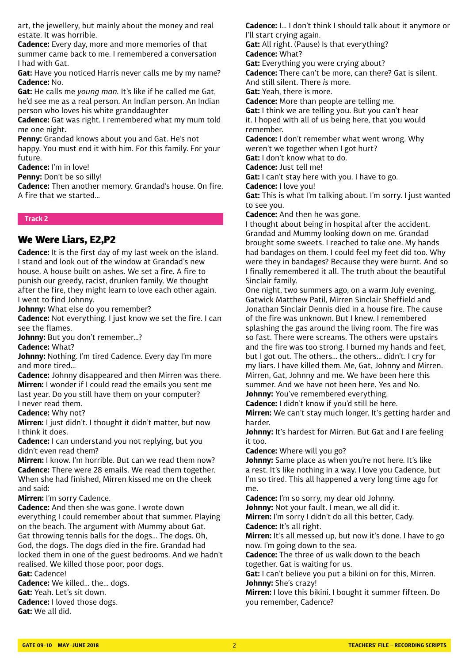art, the jewellery, but mainly about the money and real estate. It was horrible.

**Cadence:** Every day, more and more memories of that summer came back to me. I remembered a conversation I had with Gat.

**Gat:** Have you noticed Harris never calls me by my name? **Cadence:** No.

**Gat:** He calls me *young man.* It's like if he called me Gat, he'd see me as a real person. An Indian person. An Indian person who loves his white granddaughter

**Cadence:** Gat was right. I remembered what my mum told me one night.

**Penny:** Grandad knows about you and Gat. He's not happy. You must end it with him. For this family. For your future.

**Cadence:** I'm in love!

**Penny:** Don't be so silly!

**Cadence:** Then another memory. Grandad's house. On fire. A fire that we started…

**Track 2**

# We Were Liars, E2,P2

**Cadence:** It is the first day of my last week on the island. I stand and look out of the window at Grandad's new house. A house built on ashes. We set a fire. A fire to punish our greedy, racist, drunken family. We thought after the fire, they might learn to love each other again. I went to find Johnny.

**Johnny:** What else do you remember?

**Cadence:** Not everything. I just know we set the fire. I can see the flames.

**Johnny:** But you don't remember…?

**Cadence:** What?

Johnny: Nothing. I'm tired Cadence. Every day I'm more and more tired…

**Cadence:** Johnny disappeared and then Mirren was there. **Mirren:** I wonder if I could read the emails you sent me last year. Do you still have them on your computer? I never read them.

**Cadence:** Why not?

**Mirren:** I just didn't. I thought it didn't matter, but now I think it does.

**Cadence:** I can understand you not replying, but you didn't even read them?

**Mirren:** I know. I'm horrible. But can we read them now? **Cadence:** There were 28 emails. We read them together. When she had finished, Mirren kissed me on the cheek and said:

**Mirren:** I'm sorry Cadence.

**Cadence:** And then she was gone. I wrote down everything I could remember about that summer. Playing on the beach. The argument with Mummy about Gat. Gat throwing tennis balls for the dogs… The dogs. Oh, God, the dogs. The dogs died in the fire. Grandad had locked them in one of the guest bedrooms. And we hadn't realised. We killed those poor, poor dogs. **Gat:** Cadence!

**Cadence:** We killed… the… dogs. **Gat:** Yeah. Let's sit down. **Cadence:** I loved those dogs.

**Gat:** We all did.

**Cadence:** I… I don't think I should talk about it anymore or I'll start crying again.

**Gat:** All right. (Pause) Is that everything?

**Cadence:** What?

**Gat:** Everything you were crying about?

**Cadence:** There can't be more, can there? Gat is silent.

And still silent. There *is* more.

**Gat:** Yeah, there is more.

**Cadence:** More than people are telling me.

**Gat:** I think we are telling you. But you can't hear it. I hoped with all of us being here, that you would remember.

**Cadence:** I don't remember what went wrong. Why weren't we together when I got hurt?

**Gat:** I don't know what to do.

**Cadence:** Just tell me!

**Gat:** I can't stay here with you. I have to go.

**Cadence:** I love you!

**Gat:** This is what I'm talking about. I'm sorry. I just wanted to see you.

**Cadence:** And then he was gone.

I thought about being in hospital after the accident. Grandad and Mummy looking down on me. Grandad brought some sweets. I reached to take one. My hands had bandages on them. I could feel my feet did too. Why were they in bandages? Because they were burnt. And so I finally remembered it all. The truth about the beautiful Sinclair family.

One night, two summers ago, on a warm July evening, Gatwick Matthew Patil, Mirren Sinclair Sheffield and Jonathan Sinclair Dennis died in a house fire. The cause of the fire was unknown. But I knew. I remembered splashing the gas around the living room. The fire was so fast. There were screams. The others were upstairs and the fire was too strong. I burned my hands and feet, but I got out. The others… the others… didn't. I cry for my liars. I have killed them. Me, Gat, Johnny and Mirren. Mirren, Gat, Johnny and me. We have been here this summer. And we have not been here. Yes and No.

**Johnny:** You've remembered everything. **Cadence:** I didn't know if you'd still be here.

**Mirren:** We can't stay much longer. It's getting harder and harder.

**Johnny:** It's hardest for Mirren. But Gat and I are feeling it too.

**Cadence:** Where will you go?

**Johnny:** Same place as when you're not here. It's like a rest. It's like nothing in a way. I love you Cadence, but I'm so tired. This all happened a very long time ago for me.

**Cadence:** I'm so sorry, my dear old Johnny.

**Johnny:** Not your fault. I mean, we all did it. **Mirren:** I'm sorry I didn't do all this better, Cady. **Cadence:** It's all right.

**Mirren:** It's all messed up, but now it's done. I have to go now. I'm going down to the sea.

**Cadence:** The three of us walk down to the beach together. Gat is waiting for us.

**Gat:** I can't believe you put a bikini on for this, Mirren. **Johnny:** She's crazy!

**Mirren:** I love this bikini. I bought it summer fifteen. Do you remember, Cadence?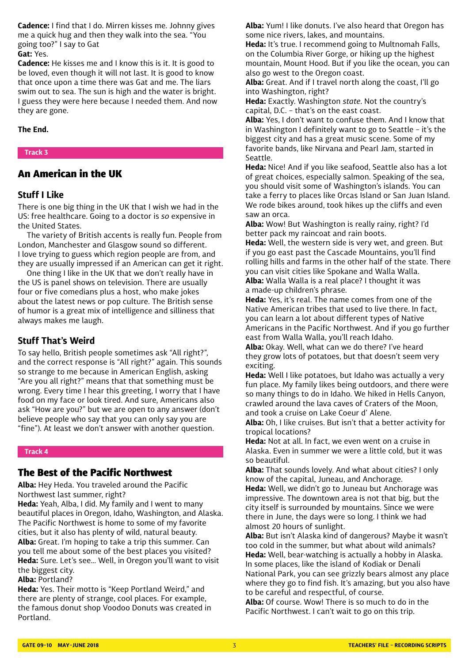**Cadence:** I find that I do. Mirren kisses me. Johnny gives me a quick hug and then they walk into the sea. "You going too?" I say to Gat

**Gat:** Yes.

**Cadence:** He kisses me and I know this is it. It is good to be loved, even though it will not last. It is good to know that once upon a time there was Gat and me. The liars swim out to sea. The sun is high and the water is bright. I guess they were here because I needed them. And now they are gone.

# **The End.**

#### **Track 3**

# An American in the UK

# **Stuff I Like**

There is one big thing in the UK that I wish we had in the US: free healthcare. Going to a doctor is *so* expensive in the United States.

The variety of British accents is really fun. People from London, Manchester and Glasgow sound so different. I love trying to guess which region people are from, and they are usually impressed if an American can get it right.

One thing I like in the UK that we don't really have in the US is panel shows on television. There are usually four or five comedians plus a host, who make jokes about the latest news or pop culture. The British sense of humor is a great mix of intelligence and silliness that always makes me laugh.

# **Stuff That's Weird**

To say hello, British people sometimes ask "All right?", and the correct response is "All right?" again. This sounds so strange to me because in American English, asking "Are you all right?" means that that something must be wrong. Every time I hear this greeting, I worry that I have food on my face or look tired. And sure, Americans also ask "How are you?" but we are open to any answer (don't believe people who say that you can only say you are "fine"). At least we don't answer with another question.

#### **Track 4**

# The Best of the Pacific Northwest

**Alba:** Hey Heda. You traveled around the Pacific Northwest last summer, right?

**Heda:** Yeah, Alba, I did. My family and I went to many beautiful places in Oregon, Idaho, Washington, and Alaska. The Pacific Northwest is home to some of my favorite cities, but it also has plenty of wild, natural beauty. **Alba:** Great. I'm hoping to take a trip this summer. Can you tell me about some of the best places you visited? **Heda:** Sure. Let's see… Well, in Oregon you'll want to visit the biggest city.

**Alba:** Portland?

**Heda:** Yes. Their motto is "Keep Portland Weird," and there are plenty of strange, cool places. For example, the famous donut shop Voodoo Donuts was created in Portland.

**Alba:** Yum! I like donuts. I've also heard that Oregon has some nice rivers, lakes, and mountains.

**Heda:** It's true. I recommend going to Multnomah Falls, on the Columbia River Gorge, or hiking up the highest mountain, Mount Hood. But if you like the ocean, you can also go west to the Oregon coast.

**Alba:** Great. And if I travel north along the coast, I'll go into Washington, right?

**Heda:** Exactly. Washington *state*. Not the country's capital, D.C. – that's on the east coast.

**Alba:** Yes, I don't want to confuse them. And I know that in Washington I definitely want to go to Seattle – it's the biggest city and has a great music scene. Some of my favorite bands, like Nirvana and Pearl Jam, started in Seattle.

**Heda:** Nice! And if you like seafood, Seattle also has a lot of great choices, especially salmon. Speaking of the sea, you should visit some of Washington's islands. You can take a ferry to places like Orcas Island or San Juan Island. We rode bikes around, took hikes up the cliffs and even saw an orca.

**Alba:** Wow! But Washington is really rainy, right? I'd better pack my raincoat and rain boots.

**Heda:** Well, the western side is very wet, and green. But if you go east past the Cascade Mountains, you'll find rolling hills and farms in the other half of the state. There you can visit cities like Spokane and Walla Walla. **Alba:** Walla Walla is a real place? I thought it was

a made-up children's phrase. **Heda:** Yes, it's real. The name comes from one of the Native American tribes that used to live there. In fact, you can learn a lot about different types of Native Americans in the Pacific Northwest. And if you go further east from Walla Walla, you'll reach Idaho.

**Alba:** Okay. Well, what can we do there? I've heard they grow lots of potatoes, but that doesn't seem very exciting.

**Heda:** Well I like potatoes, but Idaho was actually a very fun place. My family likes being outdoors, and there were so many things to do in Idaho. We hiked in Hells Canyon, crawled around the lava caves of Craters of the Moon, and took a cruise on Lake Coeur d' Alene.

**Alba:** Oh, I like cruises. But isn't that a better activity for tropical locations?

**Heda:** Not at all. In fact, we even went on a cruise in Alaska. Even in summer we were a little cold, but it was so beautiful.

**Alba:** That sounds lovely. And what about cities? I only know of the capital, Juneau, and Anchorage.

**Heda:** Well, we didn't go to Juneau but Anchorage was impressive. The downtown area is not that big, but the city itself is surrounded by mountains. Since we were there in June, the days were so long. I think we had almost 20 hours of sunlight.

**Alba:** But isn't Alaska kind of dangerous? Maybe it wasn't too cold in the summer, but what about wild animals? **Heda:** Well, bear-watching is actually a hobby in Alaska. In some places, like the island of Kodiak or Denali National Park, you can see grizzly bears almost any place where they go to find fish. It's amazing, but you also have to be careful and respectful, of course.

**Alba:** Of course. Wow! There is so much to do in the Pacific Northwest. I can't wait to go on this trip.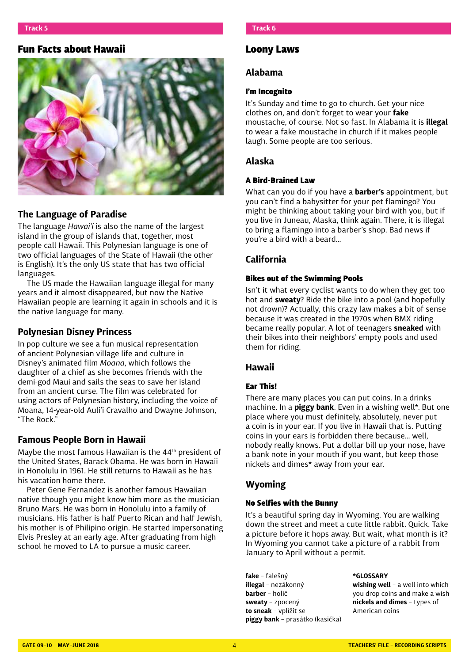# Fun Facts about Hawaii



# **The Language of Paradise**

The language *Hawai'i* is also the name of the largest island in the group of islands that, together, most people call Hawaii. This Polynesian language is one of two official languages of the State of Hawaii (the other is English). It's the only US state that has two official languages.

The US made the Hawaiian language illegal for many years and it almost disappeared, but now the Native Hawaiian people are learning it again in schools and it is the native language for many.

# **Polynesian Disney Princess**

In pop culture we see a fun musical representation of ancient Polynesian village life and culture in Disney's animated film *Moana*, which follows the daughter of a chief as she becomes friends with the demi-god Maui and sails the seas to save her island from an ancient curse. The film was celebrated for using actors of Polynesian history, including the voice of Moana, 14-year-old Auli'i Cravalho and Dwayne Johnson, "The Rock."

# **Famous People Born in Hawaii**

Maybe the most famous Hawaiian is the 44th president of the United States, Barack Obama. He was born in Hawaii in Honolulu in 1961. He still returns to Hawaii as he has his vacation home there.

Peter Gene Fernandez is another famous Hawaiian native though you might know him more as the musician Bruno Mars. He was born in Honolulu into a family of musicians. His father is half Puerto Rican and half Jewish, his mother is of Philipino origin. He started impersonating Elvis Presley at an early age. After graduating from high school he moved to LA to pursue a music career.

#### **Track 6**

# Loony Laws

# **Alabama**

#### I'm Incognito

It's Sunday and time to go to church. Get your nice clothes on, and don't forget to wear your **fake**  moustache, of course. Not so fast. In Alabama it is **illegal** to wear a fake moustache in church if it makes people laugh. Some people are too serious.

# **Alaska**

#### A Bird-Brained Law

What can you do if you have a **barber's** appointment, but you can't find a babysitter for your pet flamingo? You might be thinking about taking your bird with you, but if you live in Juneau, Alaska, think again. There, it is illegal to bring a flamingo into a barber's shop. Bad news if you're a bird with a beard…

# **California**

#### Bikes out of the Swimming Pools

Isn't it what every cyclist wants to do when they get too hot and **sweaty**? Ride the bike into a pool (and hopefully not drown)? Actually, this crazy law makes a bit of sense because it was created in the 1970s when BMX riding became really popular. A lot of teenagers **sneaked** with their bikes into their neighbors' empty pools and used them for riding.

# **Hawaii**

# Ear This!

There are many places you can put coins. In a drinks machine. In a **piggy bank**. Even in a wishing well\*. But one place where you must definitely, absolutely, never put a coin is in your ear. If you live in Hawaii that is. Putting coins in your ears is forbidden there because… well, nobody really knows. Put a dollar bill up your nose, have a bank note in your mouth if you want, but keep those nickels and dimes\* away from your ear.

# **Wyoming**

#### No Selfies with the Bunny

It's a beautiful spring day in Wyoming. You are walking down the street and meet a cute little rabbit. Quick. Take a picture before it hops away. But wait, what month is it? In Wyoming you cannot take a picture of a rabbit from January to April without a permit.

**fake** – falešný **illegal** – nezákonný **barber** – holič **sweaty** – zpocený **to sneak** – vplížit se **piggy bank** – prasátko (kasička)

**\*Glossary wishing well** – a well into which you drop coins and make a wish **nickels and dimes** – types of American coins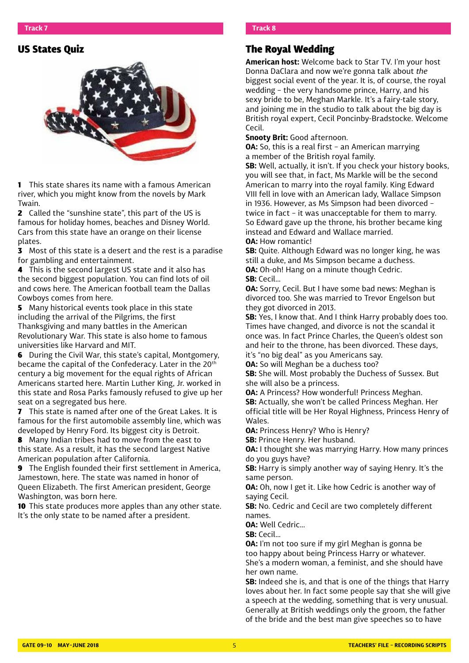# US States Quiz



1 This state shares its name with a famous American river, which you might know from the novels by Mark Twain.

2 Called the "sunshine state", this part of the US is famous for holiday homes, beaches and Disney World. Cars from this state have an orange on their license plates.

**3** Most of this state is a desert and the rest is a paradise for gambling and entertainment.

4 This is the second largest US state and it also has the second biggest population. You can find lots of oil and cows here. The American football team the Dallas Cowboys comes from here.

5 Many historical events took place in this state including the arrival of the Pilgrims, the first Thanksgiving and many battles in the American Revolutionary War. This state is also home to famous universities like Harvard and MIT.

6 During the Civil War, this state's capital, Montgomery, became the capital of the Confederacy. Later in the 20th century a big movement for the equal rights of African Americans started here. Martin Luther King, Jr. worked in this state and Rosa Parks famously refused to give up her seat on a segregated bus here.

**7** This state is named after one of the Great Lakes. It is famous for the first automobile assembly line, which was developed by Henry Ford. Its biggest city is Detroit.

8 Many Indian tribes had to move from the east to this state. As a result, it has the second largest Native American population after California.

9 The English founded their first settlement in America, Jamestown, here. The state was named in honor of Queen Elizabeth. The first American president, George Washington, was born here.

10 This state produces more apples than any other state. It's the only state to be named after a president.

#### **Track 8**

# The Royal Wedding

**American host:** Welcome back to Star TV. I'm your host Donna DaClara and now we're gonna talk about *the* biggest social event of the year. It is, of course, the royal wedding – the very handsome prince, Harry, and his sexy bride to be, Meghan Markle. It's a fairy-tale story, and joining me in the studio to talk about the big day is British royal expert, Cecil Poncinby-Bradstocke. Welcome Cecil.

**Snooty Brit:** Good afternoon.

**OA:** So, this is a real first – an American marrying a member of the British royal family.

**SB:** Well, actually, it isn't. If you check your history books, you will see that, in fact, Ms Markle will be the second American to marry into the royal family. King Edward VIII fell in love with an American lady, Wallace Simpson in 1936. However, as Ms Simpson had been divorced – twice in fact – it was unacceptable for them to marry. So Edward gave up the throne, his brother became king instead and Edward and Wallace married. **OA:** How romantic!

**SB:** Quite. Although Edward was no longer king, he was still a duke, and Ms Simpson became a duchess. **OA:** Oh-oh! Hang on a minute though Cedric.

**SB:** Cecil…

**OA:** Sorry, Cecil. But I have some bad news: Meghan is divorced too. She was married to Trevor Engelson but they got divorced in 2013.

**SB:** Yes, I know that. And I think Harry probably does too. Times have changed, and divorce is not the scandal it once was. In fact Prince Charles, the Queen's oldest son and heir to the throne, has been divorced. These days, it's "no big deal" as you Americans say.

**OA:** So will Meghan be a duchess too?

**SB:** She will. Most probably the Duchess of Sussex. But she will also be a princess.

**OA:** A Princess? How wonderful! Princess Meghan. **SB:** Actually, she won't be called Princess Meghan. Her official title will be Her Royal Highness, Princess Henry of Wales.

**OA:** Princess Henry? Who is Henry?

**SB:** Prince Henry. Her husband.

**OA:** I thought she was marrying Harry. How many princes do you guys have?

**SB:** Harry is simply another way of saying Henry. It's the same person.

**OA:** Oh, now I get it. Like how Cedric is another way of saying Cecil.

**SB:** No. Cedric and Cecil are two completely different names.

**OA:** Well Cedric…

**SB:** Cecil…

**OA:** I'm not too sure if my girl Meghan is gonna be too happy about being Princess Harry or whatever. She's a modern woman, a feminist, and she should have her own name.

**SB:** Indeed she is, and that is one of the things that Harry loves about her. In fact some people say that she will give a speech at the wedding, something that is very unusual. Generally at British weddings only the groom, the father of the bride and the best man give speeches so to have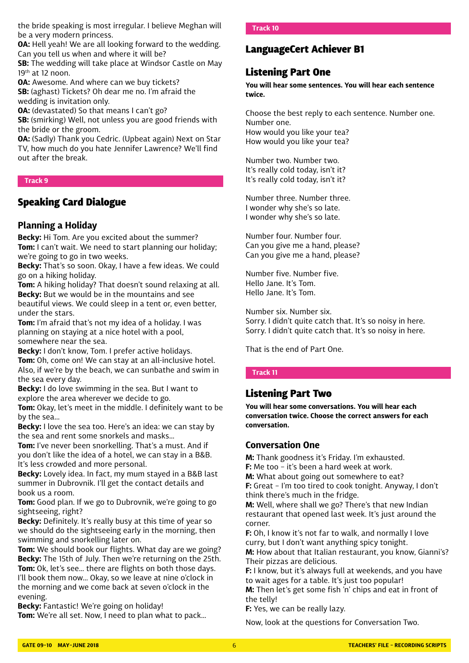the bride speaking is most irregular. I believe Meghan will be a very modern princess.

**OA:** Hell yeah! We are all looking forward to the wedding. Can you tell us when and where it will be?

**SB:** The wedding will take place at Windsor Castle on May 19<sup>th</sup> at 12 noon.

**OA:** Awesome. And where can we buy tickets?

**SB:** (aghast) Tickets? Oh dear me no. I'm afraid the wedding is invitation only.

**OA:** (devastated) So that means I can't go?

**SB:** (smirking) Well, not unless you are good friends with the bride or the groom.

**OA:** (Sadly) Thank you Cedric. (Upbeat again) Next on Star TV, how much do you hate Jennifer Lawrence? We'll find out after the break.

#### **Track 9**

# Speaking Card Dialogue

# **Planning a Holiday**

**Becky:** Hi Tom. Are you excited about the summer? **Tom:** I can't wait. We need to start planning our holiday; we're going to go in two weeks.

**Becky:** That's so soon. Okay, I have a few ideas. We could go on a hiking holiday.

**Tom:** A hiking holiday? That doesn't sound relaxing at all. **Becky:** But we would be in the mountains and see beautiful views. We could sleep in a tent or, even better, under the stars.

**Tom:** I'm afraid that's not my idea of a holiday. I was planning on staying at a nice hotel with a pool, somewhere near the sea.

**Becky:** I don't know, Tom. I prefer active holidays. **Tom:** Oh, come on! We can stay at an all-inclusive hotel. Also, if we're by the beach, we can sunbathe and swim in the sea every day.

**Becky:** I do love swimming in the sea. But I want to explore the area wherever we decide to go.

**Tom:** Okay, let's meet in the middle. I definitely want to be by the sea…

**Becky:** I love the sea too. Here's an idea: we can stay by the sea and rent some snorkels and masks…

**Tom:** I've never been snorkelling. That's a must. And if you don't like the idea of a hotel, we can stay in a B&B. It's less crowded and more personal.

**Becky:** Lovely idea. In fact, my mum stayed in a B&B last summer in Dubrovnik. I'll get the contact details and book us a room.

**Tom:** Good plan. If we go to Dubrovnik, we're going to go sightseeing, right?

**Becky:** Definitely. It's really busy at this time of year so we should do the sightseeing early in the morning, then swimming and snorkelling later on.

**Tom:** We should book our flights. What day are we going? **Becky:** The 15th of July. Then we're returning on the 25th. **Tom:** Ok, let's see… there are flights on both those days. I'll book them now… Okay, so we leave at nine o'clock in the morning and we come back at seven o'clock in the evening.

**Becky:** Fantastic! We're going on holiday! **Tom:** We're all set. Now, I need to plan what to pack…

# LanguageCert Achiever B1

# Listening Part one

**You will hear some sentences. You will hear each sentence twice.** 

Choose the best reply to each sentence. Number one. Number one. How would you like your tea?

How would you like your tea?

Number two. Number two. It's really cold today, isn't it? It's really cold today, isn't it?

Number three. Number three. I wonder why she's so late. I wonder why she's so late.

Number four. Number four. Can you give me a hand, please? Can you give me a hand, please?

Number five. Number five. Hello Jane. It's Tom. Hello Jane. It's Tom.

Number six. Number six. Sorry. I didn't quite catch that. It's so noisy in here. Sorry. I didn't quite catch that. It's so noisy in here.

That is the end of Part One.

# **Track 11**

# Listening part Two

**You will hear some conversations. You will hear each conversation twice. Choose the correct answers for each conversation.**

# **Conversation One**

**M:** Thank goodness it's Friday. I'm exhausted. **F:** Me too – it's been a hard week at work.

**M:** What about going out somewhere to eat?

**F:** Great – I'm too tired to cook tonight. Anyway, I don't think there's much in the fridge.

**M:** Well, where shall we go? There's that new Indian restaurant that opened last week. It's just around the corner.

**F:** Oh, I know it's not far to walk, and normally I love curry, but I don't want anything spicy tonight.

**M:** How about that Italian restaurant, you know, Gianni's? Their pizzas are delicious.

**F:** I know, but it's always full at weekends, and you have to wait ages for a table. It's just too popular! **M:** Then let's get some fish 'n' chips and eat in front of the telly!

**F:** Yes, we can be really lazy.

Now, look at the questions for Conversation Two.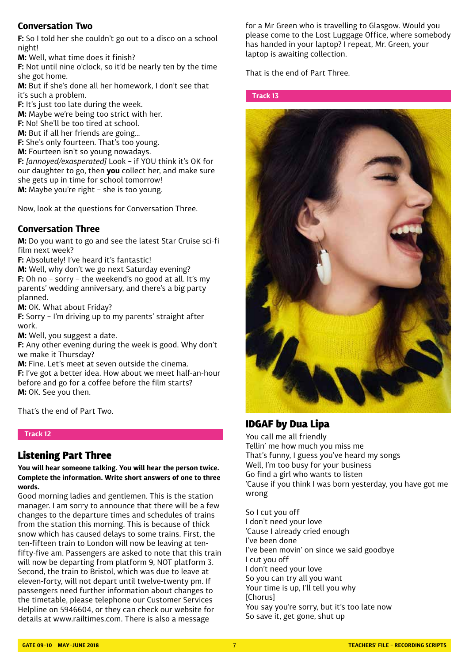# **Conversation Two**

**F:** So I told her she couldn't go out to a disco on a school night!

**M:** Well, what time does it finish?

**F:** Not until nine o'clock, so it'd be nearly ten by the time she got home.

**M:** But if she's done all her homework, I don't see that it's such a problem.

**F:** It's just too late during the week.

**M:** Maybe we're being too strict with her.

**F:** No! She'll be too tired at school.

**M:** But if all her friends are going…

**F:** She's only fourteen. That's too young.

**M:** Fourteen isn't so young nowadays.

**F:** *[annoyed/exasperated]* Look – if YOU think it's OK for our daughter to go, then **you** collect her, and make sure she gets up in time for school tomorrow! **M:** Maybe you're right - she is too young.

Now, look at the questions for Conversation Three.

# **Conversation Three**

**M:** Do you want to go and see the latest Star Cruise sci-fi film next week?

**F:** Absolutely! I've heard it's fantastic!

**M:** Well, why don't we go next Saturday evening? **F:** Oh no – sorry – the weekend's no good at all. It's my parents' wedding anniversary, and there's a big party planned.

**M:** OK. What about Friday?

**F:** Sorry – I'm driving up to my parents' straight after work.

**M:** Well, you suggest a date.

**F:** Any other evening during the week is good. Why don't we make it Thursday?

**M:** Fine. Let's meet at seven outside the cinema. **F:** I've got a better idea. How about we meet half-an-hour before and go for a coffee before the film starts? **M:** OK. See you then.

That's the end of Part Two.

# **Track 12**

# Listening Part Three

**You will hear someone talking. You will hear the person twice. Complete the information. Write short answers of one to three words.**

Good morning ladies and gentlemen. This is the station manager. I am sorry to announce that there will be a few changes to the departure times and schedules of trains from the station this morning. This is because of thick snow which has caused delays to some trains. First, the ten-fifteen train to London will now be leaving at tenfifty-five am. Passengers are asked to note that this train will now be departing from platform 9, NOT platform 3. Second, the train to Bristol, which was due to leave at eleven-forty, will not depart until twelve-twenty pm. If passengers need further information about changes to the timetable, please telephone our Customer Services Helpline on 5946604, or they can check our website for details at www.railtimes.com. There is also a message

for a Mr Green who is travelling to Glasgow. Would you please come to the Lost Luggage Office, where somebody has handed in your laptop? I repeat, Mr. Green, your laptop is awaiting collection.

That is the end of Part Three.

#### **Track 13**



# IDGAF by Dua Lipa

You call me all friendly Tellin' me how much you miss me That's funny, I guess you've heard my songs Well, I'm too busy for your business Go find a girl who wants to listen 'Cause if you think I was born yesterday, you have got me wrong

So I cut you off I don't need your love 'Cause I already cried enough I've been done I've been movin' on since we said goodbye I cut you off I don't need your love So you can try all you want Your time is up, I'll tell you why [Chorus] You say you're sorry, but it's too late now So save it, get gone, shut up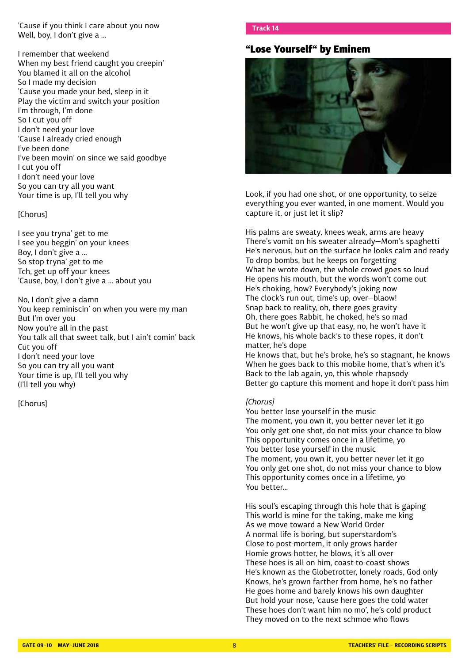'Cause if you think I care about you now Well, boy, I don't give a …

I remember that weekend When my best friend caught you creepin' You blamed it all on the alcohol So I made my decision 'Cause you made your bed, sleep in it Play the victim and switch your position I'm through, I'm done So I cut you off I don't need your love 'Cause I already cried enough I've been done I've been movin' on since we said goodbye I cut you off I don't need your love So you can try all you want Your time is up, I'll tell you why

#### [Chorus]

I see you tryna' get to me I see you beggin' on your knees Boy, I don't give a … So stop tryna' get to me Tch, get up off your knees 'Cause, boy, I don't give a … about you

No, I don't give a damn You keep reminiscin' on when you were my man But I'm over you Now you're all in the past You talk all that sweet talk, but I ain't comin' back Cut you off I don't need your love So you can try all you want Your time is up, I'll tell you why (I'll tell you why)

#### [Chorus]

**Track 14**

# "Lose Yourself" by Eminem



Look, if you had one shot, or one opportunity, to seize everything you ever wanted, in one moment. Would you capture it, or just let it slip?

His palms are sweaty, knees weak, arms are heavy There's vomit on his sweater already—Mom's spaghetti He's nervous, but on the surface he looks calm and ready To drop bombs, but he keeps on forgetting What he wrote down, the whole crowd goes so loud He opens his mouth, but the words won't come out He's choking, how? Everybody's joking now The clock's run out, time's up, over—blaow! Snap back to reality, oh, there goes gravity Oh, there goes Rabbit, he choked, he's so mad But he won't give up that easy, no, he won't have it He knows, his whole back's to these ropes, it don't matter, he's dope

He knows that, but he's broke, he's so stagnant, he knows When he goes back to this mobile home, that's when it's Back to the lab again, yo, this whole rhapsody Better go capture this moment and hope it don't pass him

#### *[Chorus]*

You better lose yourself in the music The moment, you own it, you better never let it go You only get one shot, do not miss your chance to blow This opportunity comes once in a lifetime, yo You better lose yourself in the music The moment, you own it, you better never let it go You only get one shot, do not miss your chance to blow This opportunity comes once in a lifetime, yo You better…

His soul's escaping through this hole that is gaping This world is mine for the taking, make me king As we move toward a New World Order A normal life is boring, but superstardom's Close to post-mortem, it only grows harder Homie grows hotter, he blows, it's all over These hoes is all on him, coast-to-coast shows He's known as the Globetrotter, lonely roads, God only Knows, he's grown farther from home, he's no father He goes home and barely knows his own daughter But hold your nose, 'cause here goes the cold water These hoes don't want him no mo', he's cold product They moved on to the next schmoe who flows